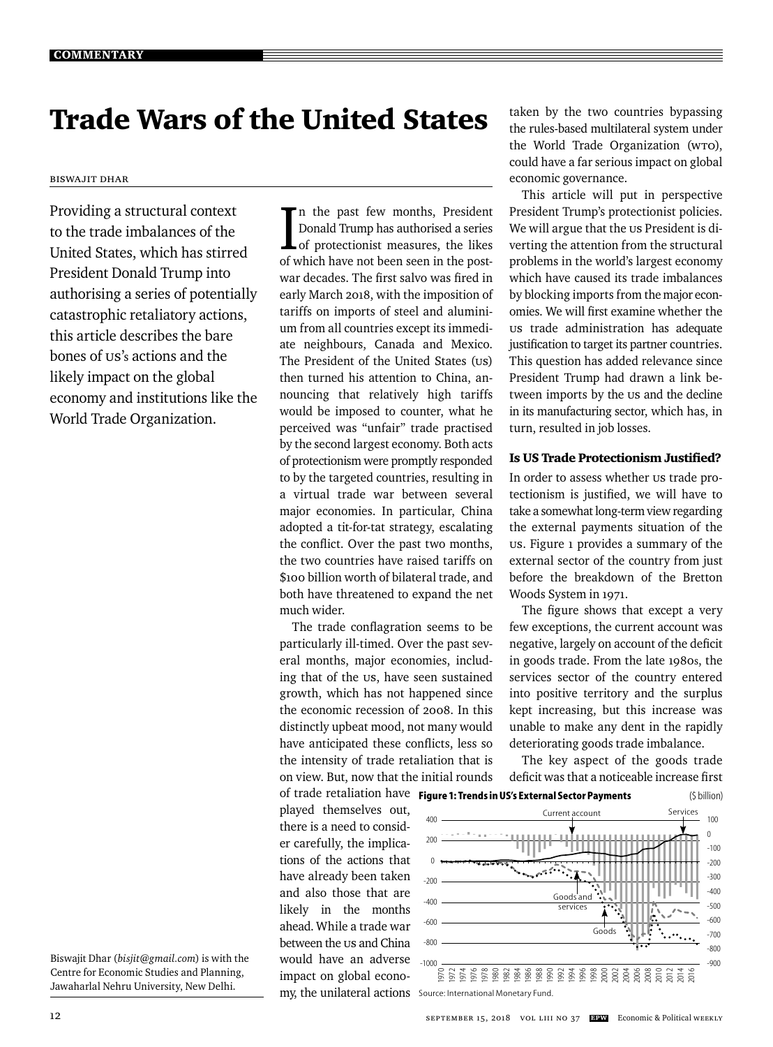# Trade Wars of the United States

#### Biswajit Dhar

Providing a structural context to the trade imbalances of the United States, which has stirred President Donald Trump into authorising a series of potentially catastrophic retaliatory actions, this article describes the bare bones of US's actions and the likely impact on the global economy and institutions like the World Trade Organization.

Biswajit Dhar (*bisjit@gmail.com*) is with the Centre for Economic Studies and Planning, Jawaharlal Nehru University, New Delhi.

In the past few months, President<br>Donald Trump has authorised a series<br>of protectionist measures, the likes n the past few months, President Donald Trump has authorised a series of which have not been seen in the postwar decades. The first salvo was fired in early March 2018, with the imposition of tariffs on imports of steel and aluminium from all countries except its immediate neighbours, Canada and Mexico. The President of the United States (US) then turned his attention to China, announcing that relatively high tariffs would be imposed to counter, what he perceived was "unfair" trade practised by the second largest economy. Both acts of protectionism were promptly responded to by the targeted countries, resulting in a virtual trade war between several major economies. In particular, China adopted a tit-for-tat strategy, escalating the conflict. Over the past two months, the two countries have raised tariffs on \$100 billion worth of bilateral trade, and both have threatened to expand the net much wider.

The trade conflagration seems to be particularly ill-timed. Over the past several months, major economies, including that of the US, have seen sustained growth, which has not happened since the economic recession of 2008. In this distinctly upbeat mood, not many would have anticipated these conflicts, less so the intensity of trade retaliation that is on view. But, now that the initial rounds

played themselves out, there is a need to consider carefully, the implications of the actions that have already been taken and also those that are likely in the months ahead. While a trade war between the us and China would have an adverse impact on global economy, the unilateral actions Source: International Monetary Fund.

taken by the two countries bypassing the rules-based multilateral system under the World Trade Organization (WTO), could have a far serious impact on global economic governance.

This article will put in perspective President Trump's protectionist policies. We will argue that the us President is diverting the attention from the structural problems in the world's largest economy which have caused its trade imbalances by blocking imports from the major economies. We will first examine whether the US trade administration has adequate justification to target its partner countries. This question has added relevance since President Trump had drawn a link between imports by the us and the decline in its manufacturing sector, which has, in turn, resulted in job losses.

# Is US Trade Protectionism Justified?

In order to assess whether us trade protectionism is justified, we will have to take a somewhat long-term view regarding the external payments situation of the US. Figure 1 provides a summary of the external sector of the country from just before the breakdown of the Bretton Woods System in 1971.

The figure shows that except a very few exceptions, the current account was negative, largely on account of the deficit in goods trade. From the late 1980s, the services sector of the country entered into positive territory and the surplus kept increasing, but this increase was unable to make any dent in the rapidly deteriorating goods trade imbalance.

The key aspect of the goods trade deficit was that a noticeable increase first

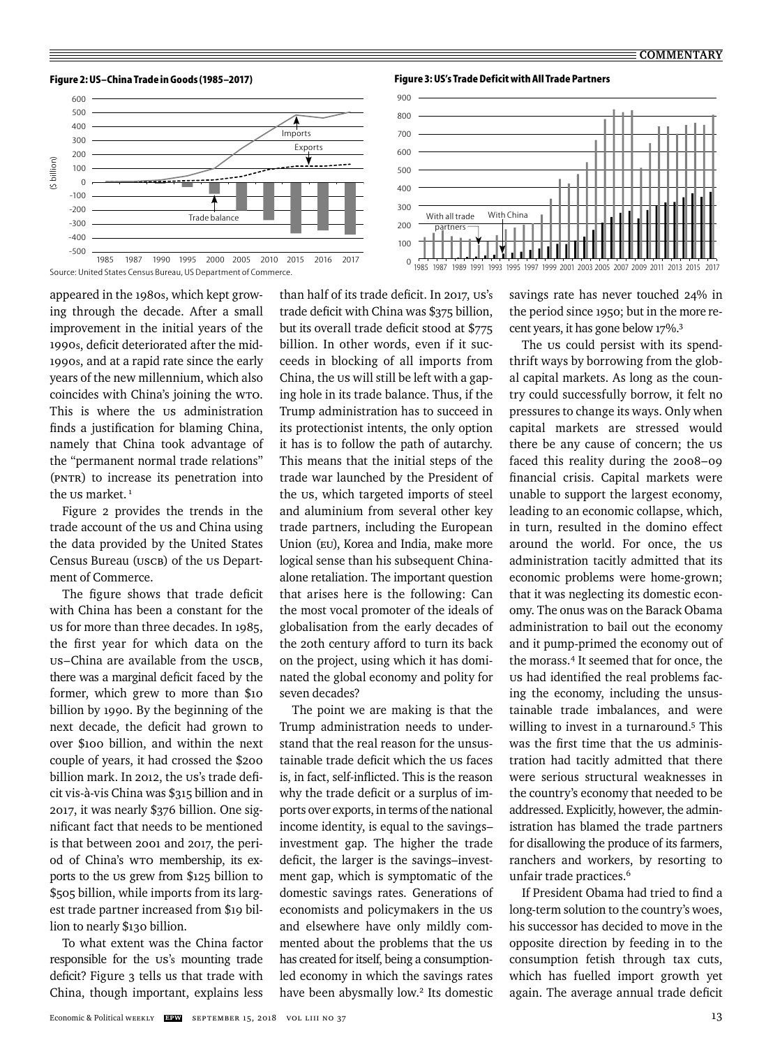**Figure 2: US–China Trade in Goods (1985–2017) Figure 3: US's Trade Deficit with All Trade Partners**







appeared in the 1980s, which kept growing through the decade. After a small improvement in the initial years of the 1990s, deficit deteriorated after the mid-1990s, and at a rapid rate since the early years of the new millennium, which also coincides with China's joining the WTO. This is where the us administration finds a justification for blaming China, namely that China took advantage of the "permanent normal trade relations" (PNTR) to increase its penetration into the us market.<sup>1</sup>

Figure 2 provides the trends in the trade account of the us and China using the data provided by the United States Census Bureau (USCB) of the US Department of Commerce.

The figure shows that trade deficit with China has been a constant for the US for more than three decades. In 1985, the first year for which data on the US–China are available from the USCB, there was a marginal deficit faced by the former, which grew to more than \$10 billion by 1990. By the beginning of the next decade, the deficit had grown to over \$100 billion, and within the next couple of years, it had crossed the \$200 billion mark. In 2012, the US's trade deficit vis-à-vis China was \$315 billion and in 2017, it was nearly \$376 billion. One significant fact that needs to be mentioned is that between 2001 and 2017, the period of China's WTO membership, its exports to the US grew from \$125 billion to \$505 billion, while imports from its largest trade partner increased from \$19 billion to nearly \$130 billion.

To what extent was the China factor responsible for the US's mounting trade deficit? Figure 3 tells us that trade with China, though important, explains less than half of its trade deficit. In 2017, US's trade deficit with China was \$375 billion, but its overall trade deficit stood at \$775 billion. In other words, even if it succeeds in blocking of all imports from China, the US will still be left with a gaping hole in its trade balance. Thus, if the Trump administration has to succeed in its protectionist intents, the only option it has is to follow the path of autarchy. This means that the initial steps of the trade war launched by the President of the US, which targeted imports of steel and aluminium from several other key trade partners, including the European Union (EU), Korea and India, make more logical sense than his subsequent Chinaalone retaliation. The important question that arises here is the following: Can the most vocal promoter of the ideals of globalisation from the early decades of the 20th century afford to turn its back on the project, using which it has dominated the global economy and polity for seven decades?

The point we are making is that the Trump administration needs to understand that the real reason for the unsustainable trade deficit which the us faces is, in fact, self-inflicted. This is the reason why the trade deficit or a surplus of imports over exports, in terms of the national income identity, is equal to the savings– investment gap. The higher the trade deficit, the larger is the savings-investment gap, which is symptomatic of the domestic savings rates. Generations of economists and policymakers in the US and elsewhere have only mildly commented about the problems that the us has created for itself, being a consumptionled economy in which the savings rates have been abysmally low.<sup>2</sup> Its domestic savings rate has never touched 24% in the period since 1950; but in the more recent years, it has gone below 17%.3

The us could persist with its spendthrift ways by borrowing from the global capital markets. As long as the country could successfully borrow, it felt no pressures to change its ways. Only when capital markets are stressed would there be any cause of concern; the us faced this reality during the 2008–09 financial crisis. Capital markets were unable to support the largest economy, leading to an economic collapse, which, in turn, resulted in the domino effect around the world. For once, the US administration tacitly admitted that its economic problems were home-grown; that it was neglecting its domestic economy. The onus was on the Barack Obama administration to bail out the economy and it pump-primed the economy out of the morass.4 It seemed that for once, the us had identified the real problems facing the economy, including the unsustainable trade imbalances, and were willing to invest in a turnaround.<sup>5</sup> This was the first time that the us administration had tacitly admitted that there were serious structural weaknesses in the country's economy that needed to be addressed. Explicitly, however, the administration has blamed the trade partners for disallowing the produce of its farmers, ranchers and workers, by resorting to unfair trade practices.<sup>6</sup>

If President Obama had tried to find a long-term solution to the country's woes, his successor has decided to move in the opposite direction by feeding in to the consumption fetish through tax cuts, which has fuelled import growth yet again. The average annual trade deficit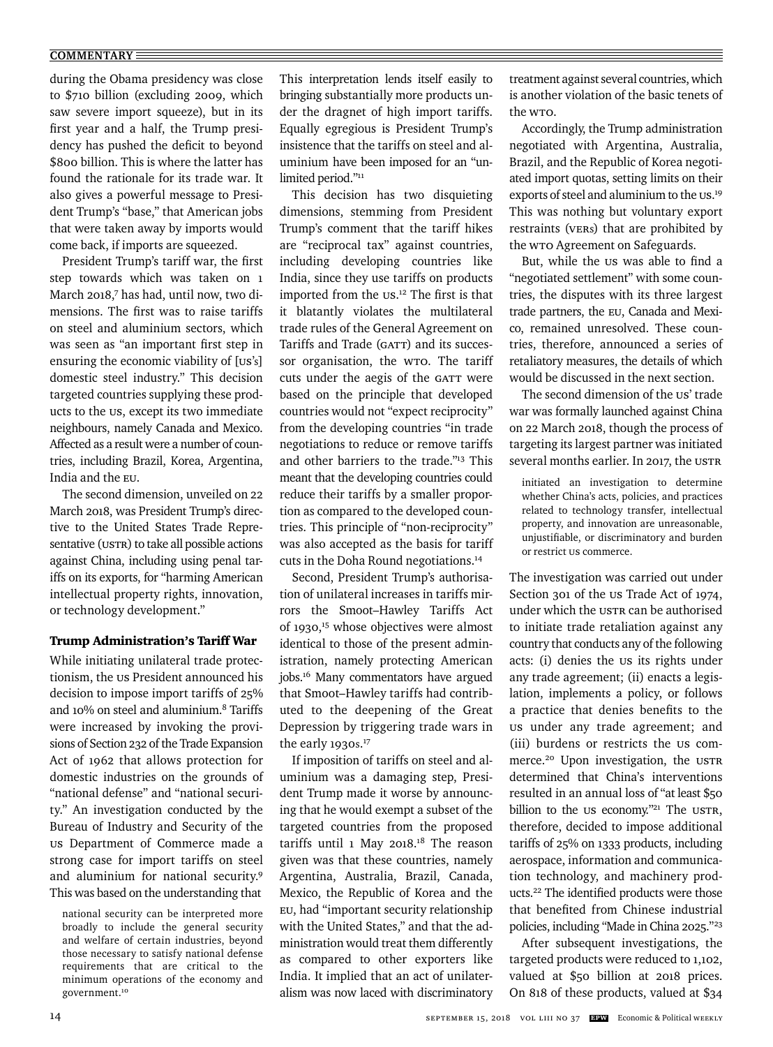## **COMMENTARY**

during the Obama presidency was close to \$710 billion (excluding 2009, which saw severe import squeeze), but in its first year and a half, the Trump presidency has pushed the deficit to beyond \$800 billion. This is where the latter has found the rationale for its trade war. It also gives a powerful message to President Trump's "base," that American jobs that were taken away by imports would come back, if imports are squeezed.

President Trump's tariff war, the first step towards which was taken on 1 March 2018,<sup>7</sup> has had, until now, two dimensions. The first was to raise tariffs on steel and aluminium sectors, which was seen as "an important first step in ensuring the economic viability of [US's] domestic steel industry." This decision targeted countries supplying these products to the US, except its two immediate neighbours, namely Canada and Mexico. Affected as a result were a number of countries, including Brazil, Korea, Argentina, India and the EU.

The second dimension, unveiled on 22 March 2018, was President Trump's directive to the United States Trade Representative (USTR) to take all possible actions against China, including using penal tariffs on its exports, for "harming American intellectual property rights, innovation, or technology development."

## Trump Administration's Tariff War

While initiating unilateral trade protectionism, the US President announced his decision to impose import tariffs of 25% and 10% on steel and aluminium.8 Tariffs were increased by invoking the provisions of Section 232 of the Trade Expansion Act of 1962 that allows protection for domestic industries on the grounds of "national defense" and "national security." An investigation conducted by the Bureau of Industry and Security of the US Department of Commerce made a strong case for import tariffs on steel and aluminium for national security.9 This was based on the understanding that

national security can be interpreted more broadly to include the general security and welfare of certain industries, beyond those necessary to satisfy national defense requirements that are critical to the minimum operations of the economy and government.<sup>10</sup>

This interpretation lends itself easily to bringing substantially more products under the dragnet of high import tariffs. Equally egregious is President Trump's insistence that the tariffs on steel and aluminium have been imposed for an "unlimited period."<sup>11</sup>

This decision has two disquieting dimensions, stemming from President Trump's comment that the tariff hikes are "reciprocal tax" against countries, including developing countries like India, since they use tariffs on products imported from the us.<sup>12</sup> The first is that it blatantly violates the multilateral trade rules of the General Agreement on Tariffs and Trade (GATT) and its successor organisation, the WTO. The tariff cuts under the aegis of the GATT were based on the principle that developed countries would not "expect reciprocity" from the developing countries "in trade negotiations to reduce or remove tariffs and other barriers to the trade."13 This meant that the developing countries could reduce their tariffs by a smaller proportion as compared to the developed countries. This principle of "non-reciprocity" was also accepted as the basis for tariff cuts in the Doha Round negotiations.14

Second, President Trump's authorisation of unilateral increases in tariffs mirrors the Smoot–Hawley Tariffs Act of 1930,15 whose objectives were almost identical to those of the present administration, namely protecting American jobs.16 Many commentators have argued that Smoot–Hawley tariffs had contributed to the deepening of the Great Depression by triggering trade wars in the early 1930s. 17

If imposition of tariffs on steel and aluminium was a damaging step, President Trump made it worse by announcing that he would exempt a subset of the targeted countries from the proposed tariffs until 1 May 2018.18 The reason given was that these countries, namely Argentina, Australia, Brazil, Canada, Mexico, the Republic of Korea and the EU, had "important security relationship with the United States," and that the administration would treat them differently as compared to other exporters like India. It implied that an act of unilateralism was now laced with discriminatory treatment against several countries, which is another violation of the basic tenets of the WTO.

Accordingly, the Trump administration negotiated with Argentina, Australia, Brazil, and the Republic of Korea negotiated import quotas, setting limits on their exports of steel and aluminium to the Us.<sup>19</sup> This was nothing but voluntary export restraints (VERs) that are prohibited by the WTO Agreement on Safeguards.

But, while the us was able to find a "negotiated settlement" with some countries, the disputes with its three largest trade partners, the EU, Canada and Mexico, remained unresolved. These countries, therefore, announced a series of retaliatory measures, the details of which would be discussed in the next section.

The second dimension of the us' trade war was formally launched against China on 22 March 2018, though the process of targeting its largest partner was initiated several months earlier. In 2017, the USTR

initiated an investigation to determine whether China's acts, policies, and practices related to technology transfer, intellectual property, and innovation are unreasonable, unjustifiable, or discriminatory and burden or restrict US commerce.

The investigation was carried out under Section 301 of the US Trade Act of 1974, under which the USTR can be authorised to initiate trade retaliation against any country that conducts any of the following acts: (i) denies the us its rights under any trade agreement; (ii) enacts a legislation, implements a policy, or follows a practice that denies benefits to the US under any trade agreement; and (iii) burdens or restricts the US commerce.20 Upon investigation, the USTR determined that China's interventions resulted in an annual loss of "at least \$50 billion to the us economy."<sup>21</sup> The USTR, therefore, decided to impose additional tariffs of 25% on 1333 products, including aerospace, information and communication technology, and machinery products.<sup>22</sup> The identified products were those that benefited from Chinese industrial policies, including "Made in China 2025."23

After subsequent investigations, the targeted products were reduced to 1,102, valued at \$50 billion at 2018 prices. On 818 of these products, valued at \$34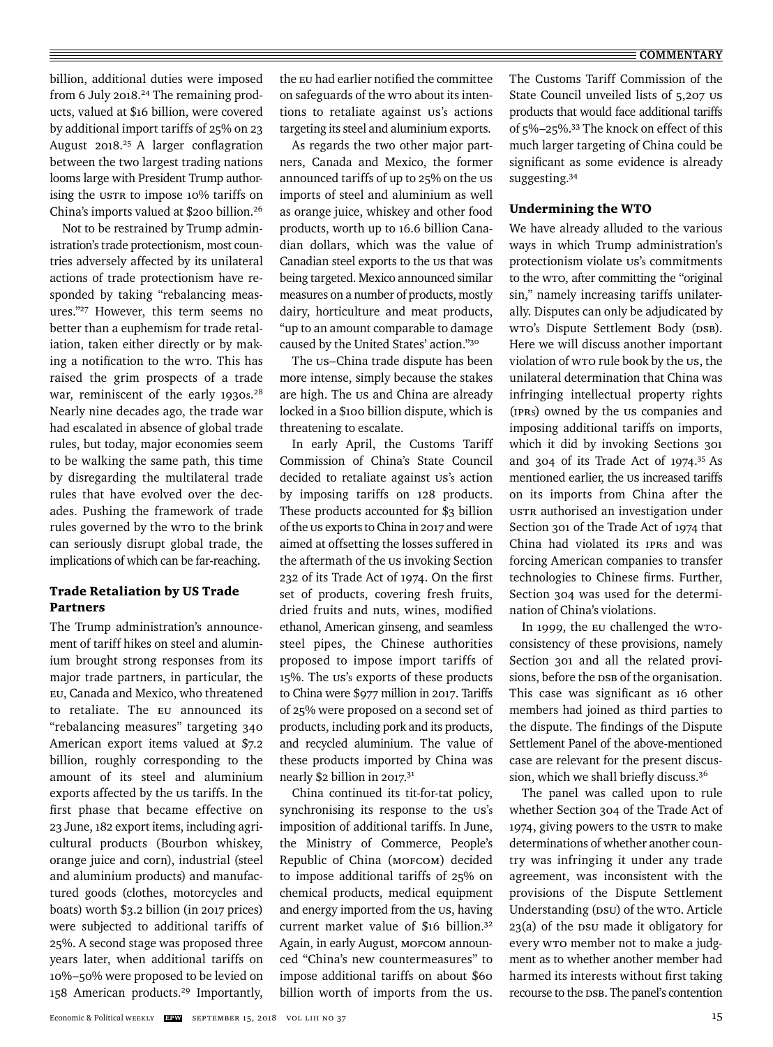billion, additional duties were imposed from 6 July 2018.<sup>24</sup> The remaining products, valued at \$16 billion, were covered by additional import tariffs of 25% on 23 August 2018.<sup>25</sup> A larger conflagration between the two largest trading nations looms large with President Trump authorising the USTR to impose 10% tariffs on China's imports valued at \$200 billion.26

Not to be restrained by Trump administration's trade protectionism, most countries adversely affected by its unilateral actions of trade protectionism have responded by taking "rebalancing measures."27 However, this term seems no better than a euphemism for trade retaliation, taken either directly or by making a notification to the wro. This has raised the grim prospects of a trade war, reminiscent of the early 1930s.<sup>28</sup> Nearly nine decades ago, the trade war had escalated in absence of global trade rules, but today, major economies seem to be walking the same path, this time by disregarding the multilateral trade rules that have evolved over the decades. Pushing the framework of trade rules governed by the WTO to the brink can seriously disrupt global trade, the implications of which can be far-reaching.

# Trade Retaliation by US Trade Partners

The Trump administration's announcement of tariff hikes on steel and aluminium brought strong responses from its major trade partners, in particular, the EU, Canada and Mexico, who threatened to retaliate. The EU announced its "rebalancing measures" targeting 340 American export items valued at \$7.2 billion, roughly corresponding to the amount of its steel and aluminium exports affected by the us tariffs. In the first phase that became effective on 23 June, 182 export items, including agricultural products (Bourbon whiskey, orange juice and corn), industrial (steel and aluminium products) and manufactured goods (clothes, motorcycles and boats) worth \$3.2 billion (in 2017 prices) were subjected to additional tariffs of 25%. A second stage was proposed three years later, when additional tariffs on 10%–50% were proposed to be levied on 158 American products.29 Importantly,

the EU had earlier notified the committee on safeguards of the WTO about its intentions to retaliate against US's actions targeting its steel and aluminium exports.

As regards the two other major partners, Canada and Mexico, the former announced tariffs of up to 25% on the US imports of steel and aluminium as well as orange juice, whiskey and other food products, worth up to 16.6 billion Canadian dollars, which was the value of Canadian steel exports to the us that was being targeted. Mexico announced similar measures on a number of products, mostly dairy, horticulture and meat products, "up to an amount comparable to damage caused by the United States' action."30

The US–China trade dispute has been more intense, simply because the stakes are high. The us and China are already locked in a \$100 billion dispute, which is threatening to escalate.

In early April, the Customs Tariff Commission of China's State Council decided to retaliate against us's action by imposing tariffs on 128 products. These products accounted for \$3 billion of the US exports to China in 2017 and were aimed at offsetting the losses suffered in the aftermath of the us invoking Section 232 of its Trade Act of 1974. On the first set of products, covering fresh fruits, dried fruits and nuts, wines, modified ethanol, American ginseng, and seamless steel pipes, the Chinese authorities proposed to impose import tariffs of 15%. The US's exports of these products to China were \$977 million in 2017. Tariffs of 25% were proposed on a second set of products, including pork and its products, and recycled aluminium. The value of these products imported by China was nearly \$2 billion in 2017.31

China continued its tit-for-tat policy, synchronising its response to the us's imposition of additional tariffs. In June, the Ministry of Commerce, People's Republic of China (MOFCOM) decided to impose additional tariffs of 25% on chemical products, medical equipment and energy imported from the us, having current market value of \$16 billion.32 Again, in early August, MOFCOM announced "China's new countermeasures" to impose additional tariffs on about \$60 billion worth of imports from the us. The Customs Tariff Commission of the State Council unveiled lists of 5,207 US products that would face additional tariffs of 5%–25%.33 The knock on effect of this much larger targeting of China could be significant as some evidence is already suggesting.34

# Undermining the WTO

We have already alluded to the various ways in which Trump administration's protectionism violate us's commitments to the WTO, after committing the "original sin," namely increasing tariffs unilaterally. Disputes can only be adjudicated by WTO's Dispute Settlement Body (DSB). Here we will discuss another important violation of WTO rule book by the US, the unilateral determination that China was infringing intellectual property rights (IPRs) owned by the US companies and imposing additional tariffs on imports, which it did by invoking Sections 301 and 304 of its Trade Act of 1974.35 As mentioned earlier, the us increased tariffs on its imports from China after the USTR authorised an investigation under Section 301 of the Trade Act of 1974 that China had violated its IPRs and was forcing American companies to transfer technologies to Chinese firms. Further, Section 304 was used for the determination of China's violations.

In 1999, the EU challenged the WTOconsistency of these provisions, namely Section 301 and all the related provisions, before the DSB of the organisation. This case was significant as 16 other members had joined as third parties to the dispute. The findings of the Dispute Settlement Panel of the above-mentioned case are relevant for the present discussion, which we shall briefly discuss.<sup>36</sup>

The panel was called upon to rule whether Section 304 of the Trade Act of 1974, giving powers to the USTR to make determinations of whether another country was infringing it under any trade agreement, was inconsistent with the provisions of the Dispute Settlement Understanding (DSU) of the WTO. Article 23(a) of the DSU made it obligatory for every WTO member not to make a judgment as to whether another member had harmed its interests without first taking recourse to the DSB. The panel's contention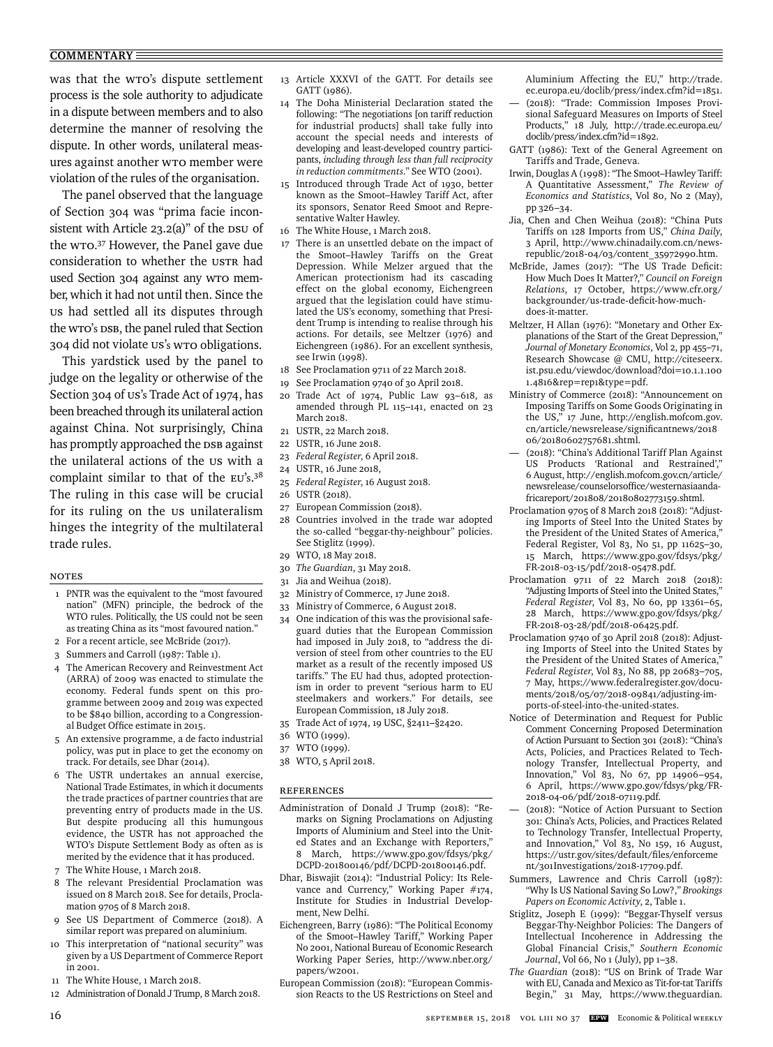### **COMMENTARY**

was that the WTO's dispute settlement process is the sole authority to adjudicate in a dispute between members and to also determine the manner of resolving the dispute. In other words, unilateral measures against another WTO member were violation of the rules of the organisation.

The panel observed that the language of Section 304 was "prima facie inconsistent with Article 23.2(a)" of the DSU of the WTO. 37 However, the Panel gave due consideration to whether the USTR had used Section 304 against any WTO member, which it had not until then. Since the US had settled all its disputes through the WTO's DSB, the panel ruled that Section 304 did not violate US's WTO obligations.

This yardstick used by the panel to judge on the legality or otherwise of the Section 304 of US's Trade Act of 1974, has been breached through its unilateral action against China. Not surprisingly, China has promptly approached the DSB against the unilateral actions of the US with a complaint similar to that of the EU's.<sup>38</sup> The ruling in this case will be crucial for its ruling on the us unilateralism hinges the integrity of the multilateral trade rules.

## Notes

- 1 PNTR was the equivalent to the "most favoured nation" (MFN) principle, the bedrock of the WTO rules. Politically, the US could not be seen as treating China as its "most favoured nation."
- 2 For a recent article, see McBride (2017).
- 3 Summers and Carroll (1987: Table 1).
- 4 The American Recovery and Reinvestment Act (ARRA) of 2009 was enacted to stimulate the economy. Federal funds spent on this programme between 2009 and 2019 was expected to be \$840 billion, according to a Congressional Budget Office estimate in 2015.
- 5 An extensive programme, a de facto industrial policy, was put in place to get the economy on track. For details, see Dhar (2014).
- 6 The USTR undertakes an annual exercise, National Trade Estimates, in which it documents the trade practices of partner countries that are preventing entry of products made in the US. But despite producing all this humungous evidence, the USTR has not approached the WTO's Dispute Settlement Body as often as is merited by the evidence that it has produced.
- 7 The White House, 1 March 2018.
- 8 The relevant Presidential Proclamation was issued on 8 March 2018. See for details, Proclamation 9705 of 8 March 2018.
- 9 See US Department of Commerce (2018). A similar report was prepared on aluminium.
- 10 This interpretation of "national security" was given by a US Department of Commerce Report in 2001.
- 11 The White House, 1 March 2018.
- 12 Administration of Donald J Trump, 8 March 2018.
- 13 Article XXXVI of the GATT. For details see GATT (1986).
- 14 The Doha Ministerial Declaration stated the following: "The negotiations [on tariff reduction for industrial products] shall take fully into account the special needs and interests of developing and least-developed country participants, *including through less than full reciprocity in reduction commitments*." See WTO (2001).
- 15 Introduced through Trade Act of 1930, better known as the Smoot–Hawley Tariff Act, after its sponsors, Senator Reed Smoot and Representative Walter Hawley.
- 16 The White House, 1 March 2018.
- There is an unsettled debate on the impact of the Smoot–Hawley Tariffs on the Great Depression. While Melzer argued that the American protectionism had its cascading effect on the global economy, Eichengreen argued that the legislation could have stimulated the US's economy, something that President Trump is intending to realise through his actions. For details, see Meltzer (1976) and Eichengreen (1986). For an excellent synthesis, see Irwin (1998).
- 18 See Proclamation 9711 of 22 March 2018.
- 19 See Proclamation 9740 of 30 April 2018.
- 20 Trade Act of 1974, Public Law 93–618, as amended through PL 115–141, enacted on 23 March 2018.
- 21 USTR, 22 March 2018.
- 22 USTR, 16 June 2018.
- 23 *Federal Register*, 6 April 2018.
- 24 USTR, 16 June 2018,
- 25 *Federal Register*, 16 August 2018.
- 26 USTR (2018).
- 27 European Commission (2018).
- 28 Countries involved in the trade war adopted the so-called "beggar-thy-neighbour" policies. See Stiglitz (1999).
- 29 WTO, 18 May 2018.
- 30 *The Guardian*, 31 May 2018.
- 31 Jia and Weihua (2018).
- 32 Ministry of Commerce, 17 June 2018.
- 33 Ministry of Commerce, 6 August 2018.
- 34 One indication of this was the provisional safeguard duties that the European Commission had imposed in July 2018, to "address the diversion of steel from other countries to the EU market as a result of the recently imposed US tariffs." The EU had thus, adopted protectionism in order to prevent "serious harm to EU steelmakers and workers." For details, see European Commission, 18 July 2018.
- 35 Trade Act of 1974, 19 USC, §2411–§2420.
- 36 WTO (1999).
- 37 WTO (1999).
- 38 WTO, 5 April 2018.

# References

- Administration of Donald J Trump (2018): "Remarks on Signing Proclamations on Adjusting Imports of Aluminium and Steel into the United States and an Exchange with Reporters," 8 March, https://www.gpo.gov/fdsys/pkg/ DCPD-201800146/pdf/DCPD-201800146.pdf.
- Dhar, Biswajit (2014): "Industrial Policy: Its Relevance and Currency," Working Paper #174, Institute for Studies in Industrial Development, New Delhi.
- Eichengreen, Barry (1986): "The Political Economy of the Smoot–Hawley Tariff," Working Paper No 2001, National Bureau of Economic Research Working Paper Series, http://www.nber.org/ papers/w2001.
- European Commission (2018): "European Commission Reacts to the US Restrictions on Steel and

Aluminium Affecting the EU," http://trade. ec.europa.eu/doclib/press/index.cfm?id=1851. — (2018): "Trade: Commission Imposes Provisional Safeguard Measures on Imports of Steel Products," 18 July, http://trade.ec.europa.eu/ doclib/press/index.cfm?id=1892.

- GATT (1986): Text of the General Agreement on Tariffs and Trade, Geneva.
- Irwin, Douglas A (1998): "The Smoot–Hawley Tariff: A Quantitative Assessment," *The Review of Economics and Statistics*, Vol 80, No 2 (May), pp 326–34.
- Jia, Chen and Chen Weihua (2018): "China Puts Tariffs on 128 Imports from US," *China Daily*, 3 April, http://www.chinadaily.com.cn/newsrepublic/2018-04/03/content\_35972990.htm.
- McBride, James (2017): "The US Trade Deficit: How Much Does It Matter?," *Council on Foreign Relations*, 17 October, https://www.cfr.org/ backgrounder/us-trade-deficit-how-muchdoes-it-matter.
- Meltzer, H Allan (1976): "Monetary and Other Explanations of the Start of the Great Depression," *Journal of Monetary Economics*, Vol 2, pp 455–71, Research Showcase @ CMU, http://citeseerx. ist.psu.edu/viewdoc/download?doi=10.1.1.100 1.4816&rep=rep1&type=pdf.
- Ministry of Commerce (2018): "Announcement on Imposing Tariffs on Some Goods Originating in the US," 17 June, http://english.mofcom.gov. cn/article/newsrelease/significantnews/2018 06/20180602757681.shtml.
- (2018): "China's Additional Tariff Plan Against US Products 'Rational and Restrained'," 6 August, http://english.mofcom.gov.cn/article/ newsrelease/counselorsoffice/westernasiaandafricareport/201808/20180802773159.shtml.
- Proclamation 9705 of 8 March 2018 (2018): "Adjusting Imports of Steel Into the United States by the President of the United States of America," Federal Register, Vol 83, No 51, pp 11625–30, 15 March, https://www.gpo.gov/fdsys/pkg/ FR-2018-03-15/pdf/2018-05478.pdf.
- Proclamation 9711 of 22 March 2018 (2018): "Adjusting Imports of Steel into the United States," *Federal Register*, Vol 83, No 60, pp 13361–65, 28 March, https://www.gpo.gov/fdsys/pkg/ FR-2018-03-28/pdf/2018-06425.pdf.
- Proclamation 9740 of 30 April 2018 (2018): Adjusting Imports of Steel into the United States by the President of the United States of America," *Federal Register*, Vol 83, No 88, pp 20683–705, 7 May, https://www.federalregister.gov/documents/2018/05/07/2018-09841/adjusting-imports-of-steel-into-the-united-states.
- Notice of Determination and Request for Public Comment Concerning Proposed Determination of Action Pursuant to Section 301 (2018): "China's Acts, Policies, and Practices Related to Technology Transfer, Intellectual Property, and Innovation," Vol 83, No 67, pp 14906–954, 6 April, https://www.gpo.gov/fdsys/pkg/FR-2018-04-06/pdf/2018-07119.pdf.
- (2018): "Notice of Action Pursuant to Section 301: China's Acts, Policies, and Practices Related to Technology Transfer, Intellectual Property, and Innovation," Vol 83, No 159, 16 August, https://ustr.gov/sites/default/files/enforceme nt/301Investigations/2018-17709.pdf.
- Summers, Lawrence and Chris Carroll (1987): "Why Is US National Saving So Low?," *Brookings Papers on Economic Activity*, 2, Table 1.
- Stiglitz, Joseph E (1999): "Beggar-Thyself versus Beggar-Thy-Neighbor Policies: The Dangers of Intellectual Incoherence in Addressing the Global Financial Crisis," *Southern Economic Journal*, Vol 66, No 1 (July), pp 1–38.
- *The Guardian* (2018): "US on Brink of Trade War with EU, Canada and Mexico as Tit-for-tat Tariffs Begin," 31 May, https://www.theguardian.